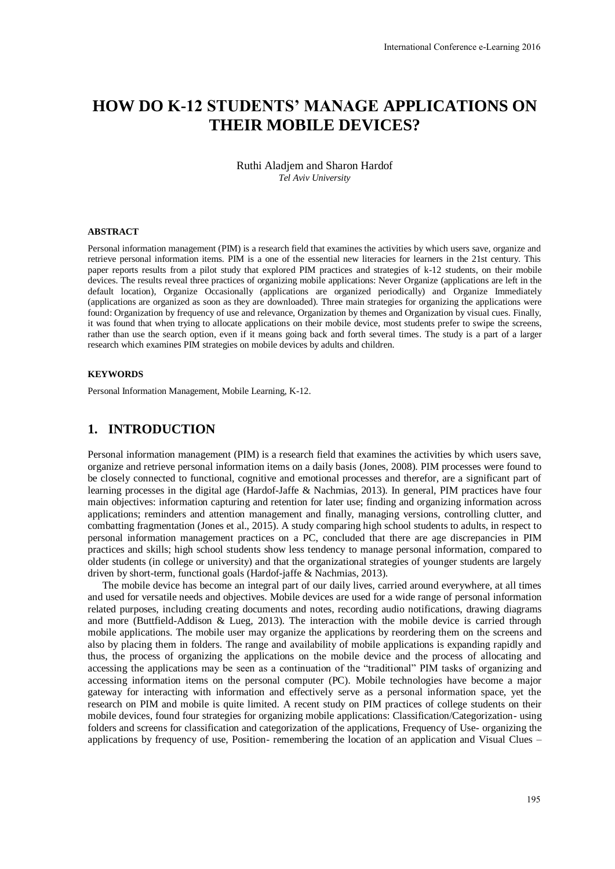# **HOW DO K-12 STUDENTS' MANAGE APPLICATIONS ON THEIR MOBILE DEVICES?**

Ruthi Aladjem and Sharon Hardof *Tel Aviv University* 

#### **ABSTRACT**

Personal information management (PIM) is a research field that examines the activities by which users save, organize and retrieve personal information items. PIM is a one of the essential new literacies for learners in the 21st century. This paper reports results from a pilot study that explored PIM practices and strategies of k-12 students, on their mobile devices. The results reveal three practices of organizing mobile applications: Never Organize (applications are left in the default location), Organize Occasionally (applications are organized periodically) and Organize Immediately (applications are organized as soon as they are downloaded). Three main strategies for organizing the applications were found: Organization by frequency of use and relevance, Organization by themes and Organization by visual cues. Finally, it was found that when trying to allocate applications on their mobile device, most students prefer to swipe the screens, rather than use the search option, even if it means going back and forth several times. The study is a part of a larger research which examines PIM strategies on mobile devices by adults and children.

#### **KEYWORDS**

Personal Information Management, Mobile Learning, K-12.

## **1. INTRODUCTION**

Personal information management (PIM) is a research field that examines the activities by which users save, organize and retrieve personal information items on a daily basis (Jones, 2008). PIM processes were found to be closely connected to functional, cognitive and emotional processes and therefor, are a significant part of learning processes in the digital age (Hardof-Jaffe & Nachmias, 2013). In general, PIM practices have four main objectives: information capturing and retention for later use; finding and organizing information across applications; reminders and attention management and finally, managing versions, controlling clutter, and combatting fragmentation (Jones et al., 2015). A study comparing high school students to adults, in respect to personal information management practices on a PC, concluded that there are age discrepancies in PIM practices and skills; high school students show less tendency to manage personal information, compared to older students (in college or university) and that the organizational strategies of younger students are largely driven by short-term, functional goals (Hardof-jaffe & Nachmias, 2013).

The mobile device has become an integral part of our daily lives, carried around everywhere, at all times and used for versatile needs and objectives. Mobile devices are used for a wide range of personal information related purposes, including creating documents and notes, recording audio notifications, drawing diagrams and more (Buttfield-Addison & Lueg, 2013). The interaction with the mobile device is carried through mobile applications. The mobile user may organize the applications by reordering them on the screens and also by placing them in folders. The range and availability of mobile applications is expanding rapidly and thus, the process of organizing the applications on the mobile device and the process of allocating and accessing the applications may be seen as a continuation of the "traditional" PIM tasks of organizing and accessing information items on the personal computer (PC). Mobile technologies have become a major gateway for interacting with information and effectively serve as a personal information space, yet the research on PIM and mobile is quite limited. A recent study on PIM practices of college students on their mobile devices, found four strategies for organizing mobile applications: Classification/Categorization- using folders and screens for classification and categorization of the applications, Frequency of Use- organizing the applications by frequency of use, Position- remembering the location of an application and Visual Clues –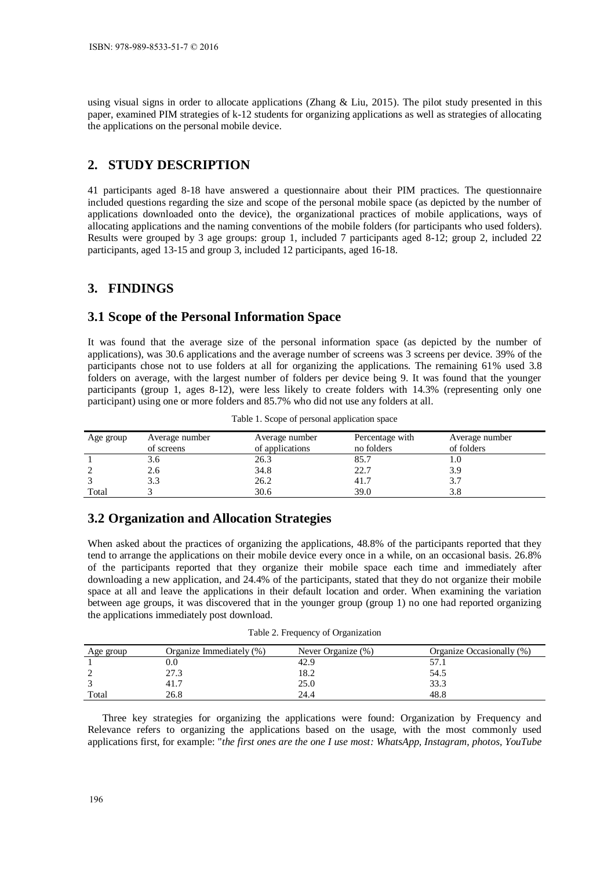using visual signs in order to allocate applications (Zhang  $\&$  Liu, 2015). The pilot study presented in this paper, examined PIM strategies of k-12 students for organizing applications as well as strategies of allocating the applications on the personal mobile device.

# **2. STUDY DESCRIPTION**

41 participants aged 8-18 have answered a questionnaire about their PIM practices. The questionnaire included questions regarding the size and scope of the personal mobile space (as depicted by the number of applications downloaded onto the device), the organizational practices of mobile applications, ways of allocating applications and the naming conventions of the mobile folders (for participants who used folders). Results were grouped by 3 age groups: group 1, included 7 participants aged 8-12; group 2, included 22 participants, aged 13-15 and group 3, included 12 participants, aged 16-18.

#### **3. FINDINGS**

## **3.1 Scope of the Personal Information Space**

It was found that the average size of the personal information space (as depicted by the number of applications), was 30.6 applications and the average number of screens was 3 screens per device. 39% of the participants chose not to use folders at all for organizing the applications. The remaining 61% used 3.8 folders on average, with the largest number of folders per device being 9. It was found that the younger participants (group 1, ages 8-12), were less likely to create folders with 14.3% (representing only one participant) using one or more folders and 85.7% who did not use any folders at all.

| Age group | Average number<br>of screens | Average number<br>of applications | Percentage with<br>no folders | Average number<br>of folders |
|-----------|------------------------------|-----------------------------------|-------------------------------|------------------------------|
|           |                              | 26.3                              | 85.7                          | 1.U                          |
|           | 2.6                          | 34.8                              | 22.7                          | 3.9                          |
|           |                              | 26.2                              | 41.7                          | 3.7                          |
| Total     |                              | 30.6                              | 39.0                          |                              |

Table 1. Scope of personal application space

# **3.2 Organization and Allocation Strategies**

When asked about the practices of organizing the applications, 48.8% of the participants reported that they tend to arrange the applications on their mobile device every once in a while, on an occasional basis. 26.8% of the participants reported that they organize their mobile space each time and immediately after downloading a new application, and 24.4% of the participants, stated that they do not organize their mobile space at all and leave the applications in their default location and order. When examining the variation between age groups, it was discovered that in the younger group (group 1) no one had reported organizing the applications immediately post download.

Table 2. Frequency of Organization

| Age group | Organize Immediately (%) | Never Organize (%) | Organize Occasionally (%) |
|-----------|--------------------------|--------------------|---------------------------|
|           | 0.0                      | 42.9               |                           |
|           | 27.3                     | 18.2               | 54.5                      |
|           | 41.7                     | 25.0               | 33.3                      |
| Total     | 26.8                     | 24.4               | 48.8                      |

Three key strategies for organizing the applications were found: Organization by Frequency and Relevance refers to organizing the applications based on the usage, with the most commonly used applications first, for example: "*the first ones are the one I use most: WhatsApp, Instagram, photos, YouTube*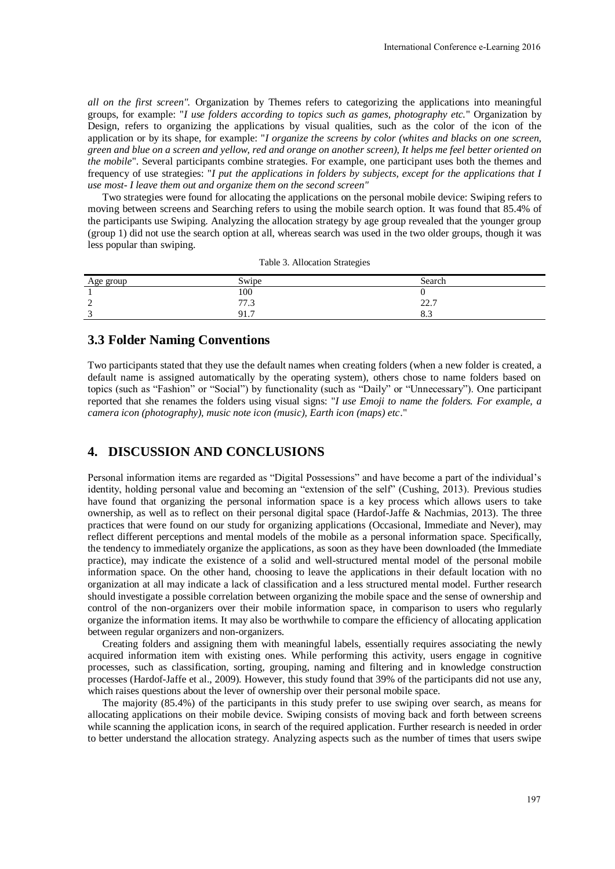*all on the first screen".* Organization by Themes refers to categorizing the applications into meaningful groups, for example: "*I use folders according to topics such as games, photography etc.*" Organization by Design, refers to organizing the applications by visual qualities, such as the color of the icon of the application or by its shape, for example: "*I organize the screens by color (whites and blacks on one screen, green and blue on a screen and yellow, red and orange on another screen), It helps me feel better oriented on the mobile*". Several participants combine strategies. For example, one participant uses both the themes and frequency of use strategies: "*I put the applications in folders by subjects, except for the applications that I use most- I leave them out and organize them on the second screen"* 

Two strategies were found for allocating the applications on the personal mobile device: Swiping refers to moving between screens and Searching refers to using the mobile search option. It was found that 85.4% of the participants use Swiping. Analyzing the allocation strategy by age group revealed that the younger group (group 1) did not use the search option at all, whereas search was used in the two older groups, though it was less popular than swiping.

|  | Table 3. Allocation Strategies |  |
|--|--------------------------------|--|
|--|--------------------------------|--|

| Age group   | Swipe              | Search                             |
|-------------|--------------------|------------------------------------|
|             | 100                |                                    |
| $\sim$<br>∼ | $\pi$ $\pi$<br>, , | 227<br>44.1                        |
| $\sqrt{2}$  | 91.7               | -<br>$\mathbf{0} \cdot \mathbf{0}$ |

#### **3.3 Folder Naming Conventions**

Two participants stated that they use the default names when creating folders (when a new folder is created, a default name is assigned automatically by the operating system), others chose to name folders based on topics (such as "Fashion" or "Social") by functionality (such as "Daily" or "Unnecessary"). One participant reported that she renames the folders using visual signs: "*I use Emoji to name the folders. For example, a camera icon (photography), music note icon (music), Earth icon (maps) etc*."

#### **4. DISCUSSION AND CONCLUSIONS**

Personal information items are regarded as "Digital Possessions" and have become a part of the individual's identity, holding personal value and becoming an "extension of the self" (Cushing, 2013). Previous studies have found that organizing the personal information space is a key process which allows users to take ownership, as well as to reflect on their personal digital space (Hardof-Jaffe & Nachmias, 2013). The three practices that were found on our study for organizing applications (Occasional, Immediate and Never), may reflect different perceptions and mental models of the mobile as a personal information space. Specifically, the tendency to immediately organize the applications, as soon as they have been downloaded (the Immediate practice), may indicate the existence of a solid and well-structured mental model of the personal mobile information space. On the other hand, choosing to leave the applications in their default location with no organization at all may indicate a lack of classification and a less structured mental model. Further research should investigate a possible correlation between organizing the mobile space and the sense of ownership and control of the non-organizers over their mobile information space, in comparison to users who regularly organize the information items. It may also be worthwhile to compare the efficiency of allocating application between regular organizers and non-organizers.

Creating folders and assigning them with meaningful labels, essentially requires associating the newly acquired information item with existing ones. While performing this activity, users engage in cognitive processes, such as classification, sorting, grouping, naming and filtering and in knowledge construction processes (Hardof-Jaffe et al., 2009). However, this study found that 39% of the participants did not use any, which raises questions about the lever of ownership over their personal mobile space.

The majority (85.4%) of the participants in this study prefer to use swiping over search, as means for allocating applications on their mobile device. Swiping consists of moving back and forth between screens while scanning the application icons, in search of the required application. Further research is needed in order to better understand the allocation strategy. Analyzing aspects such as the number of times that users swipe